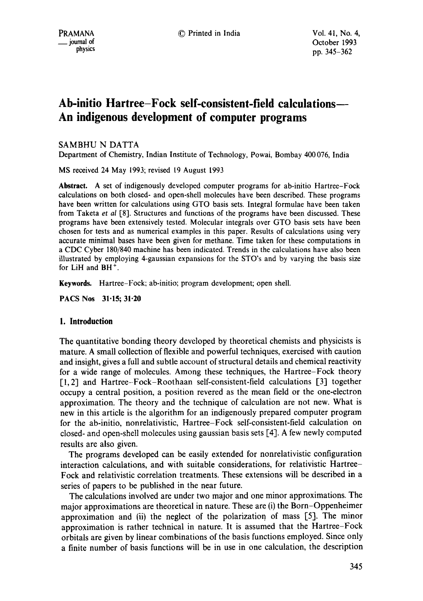# **Ab-initio Hartree-Fock self-consistent-field calculations-- An indigenous development of computer programs**

# SAMBHU N DATTA

Department of Chemistry, Indian Institute of Technology, Powai, Bombay 400 076, India

MS received 24 May 1993; revised 19 August 1993

**Abstract.** A set of indigenously developed computer programs for ab-initio Hartree-Fock calculations on both closed- and open-sheU molecules have been described. These programs have been written for calculations using GTO basis sets. Integral formulae have been taken from Taketa *et al* [8]. Structures and functions of the programs have been discussed. These programs have been extensively tested. Molecular integrals over GTO basis sets have been chosen for tests and as numerical examples in this paper. Results of calculations using very accurate minimal bases have been given for methane. Time taken for these computations in a CDC Cyber 180/840 machine has been indicated. Trends in the calculations have also been illustrated by employing 4-gaussian expansions for the STO's and by varying the basis size for LiH and BH<sup>+</sup>.

**Keywords.** Hartree-Fock; ab-initio; program development; open shell.

**PACS Nos 31.15; 31.20** 

### **1. Introduction**

The quantitative bonding theory developed by theoretical chemists and physicists is mature. A small collection of flexible and powerful techniques, exercised with caution and insight, gives a full and subtle account of structural details and chemical reactivity for a wide range of molecules. Among these techniques, the Hartree-Fock theory [1,2] and Hartree-Fock-Roothaan self-consistent-field calculations [3] together occupy a central position, a position revered as the mean field or the one-electron approximation. The theory and the technique of calculation are not new. What is new in this article is the algorithm for an indigenously prepared computer program for the ab-initio, nonrelativistic, Hartree-Fock self-consistent-field calculation on closed- and open-shell molecules using gaussian basis sets [4]. A few newly computed results are also given.

The programs developed can be easily extended for nonrelativistic configuration interaction calculations, and with suitable considerations, for relativistic Hartree-Fock and relativistic correlation treatments. These extensions wilt be described in a series of papers to be published in the near future.

The calculations involved are under two major and one minor approximations. The major approximations are theoretical in nature. These are (i) the Born-Oppenheimer approximation and (ii) the neglect of the polarization of mass [5]. The minor approximation is rather technical in nature. It is assumed that the Hartree-Fock orbitals are given by linear combinations of the basis functions employed. Since only a finite number of basis functions will be in use in one calculation, the description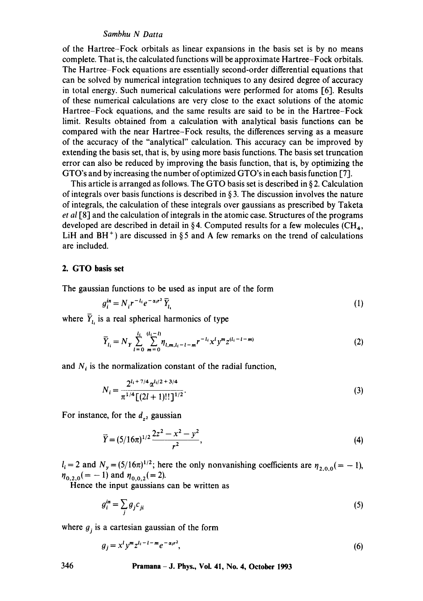of the Hartree-Fock orbitals as linear expansions in the basis set is by no means complete. That is, the calculated functions will be approximate Hartree-Fock orbitals. The Hartree-Fock equations are essentially second-order differential equations that can be solved by numerical integration techniques to any desired degree of accuracy in total energy. Such numerical calculations were performed for atoms [6]. Results of these numerical calculations are very close to the exact solutions of the atomic Hartree-Fock equations, and the same results are said to be in the Hartree-Fock limit. Results obtained from a calculation with analytical basis functions can be compared with the near Hartree-Fock results, the differences serving as a measure of the accuracy of the "analytical" calculation. This accuracy can be improved by extending the basis set, that is, by using more basis functions. The basis set truncation error can also be reduced by improving the basis function, that is, by optimizing the GTO's and by increasing the number of optimized GTO's in each basis function [7].

This article is arranged as follows. The GTO basis set is described in § 2. Calculation of integrals over basis functions is described in § 3. The discussion involves the nature of integrals, the calculation of these integrals over gaussians as prescribed by Taketa *et al* [8] and the calculation of integrals in the atomic case. Structures of the programs developed are described in detail in §4. Computed results for a few molecules (CH<sub>4</sub>, LiH and  $BH<sup>+</sup>$ ) are discussed in § 5 and A few remarks on the trend of calculations are included.

### **2. GTO basis set**

The gaussian functions to be used as input are of the form

$$
g_i^{in} = N_i r^{-l_i} e^{-\alpha_i r^2} \bar{Y}_{l_i}
$$
 (1)

where  $\overline{Y}_{l_i}$  is a real spherical harmonics of type

$$
\overline{Y}_{l_i} = N_Y \sum_{l=0}^{l_i} \sum_{m=0}^{(l_i - l)} \eta_{l,m,l_i - l - m} r^{-l_i} x^l y^m z^{(l_i - l - m)}
$$
\n(2)

and  $N_i$  is the normalization constant of the radial function,

$$
N_i = \frac{2^{l_i + 7/4} \alpha^{l_i/2 + 3/4}}{\pi^{1/4} \left[ (2l + 1)!! \right]^{1/2}}.
$$
 (3)

For instance, for the  $d_{z^2}$  gaussian

$$
\overline{Y} = (5/16\pi)^{1/2} \frac{2z^2 - x^2 - y^2}{r^2},\tag{4}
$$

 $l_i = 2$  and  $N_y = (5/16\pi)^{1/2}$ ; here the only nonvanishing coefficients are  $\eta_{2,0.0} = -1$ ),  $\eta_{0,2,0} (=-1)$  and  $\eta_{0,0,2} (= 2)$ .

Hence the input gaussians can be written as

$$
g_i^{in} = \sum_j g_j c_{ji} \tag{5}
$$

where  $g_i$  is a cartesian gaussian of the form

$$
g_j = x^l y^m z^{l_i - l - m} e^{-\alpha_i r^2},\tag{6}
$$

# **346 Pramana - J. Phys., Vol. 41, No. 4, October 1993**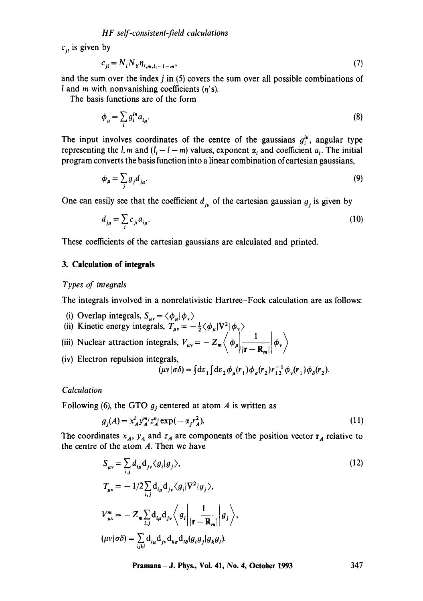$c_{ii}$  is given by

$$
c_{ji} = N_i N_{Y} \eta_{i,m,i,-l-m},\tag{7}
$$

and the sum over the index  $j$  in  $(5)$  covers the sum over all possible combinations of I and m with nonvanishing coefficients  $(n's)$ .

The basis functions are of the form

$$
\phi_{\mu} = \sum_{i} g_i^{in} a_{i\mu}.\tag{8}
$$

The input involves coordinates of the centre of the gaussians  $g_i^{in}$ , angular type representing the l, m and  $(l_i - l - m)$  values, exponent  $\alpha_i$  and coefficient  $a_i$ . The initial program converts the basis function into a linear combination of cartesian gaussians,

$$
\phi_{\mu} = \sum_{j} g_j d_{j\mu}.\tag{9}
$$

One can easily see that the coefficient  $d_{i\mu}$  of the cartesian gaussian  $g_i$  is given by

$$
d_{j\mu} = \sum_{i} c_{ji} a_{i\mu}.\tag{10}
$$

These coefficients of the cartesian gaussians are calculated and printed.

### **3. Calculation of integrals**

### *Types of integrals*

The integrals involved in a nonrelativistic Hartree-Fock calculation are as follows:

- (i) Overlap integrals,  $S_{\mu\nu} = \langle \phi_{\mu} | \phi_{\nu} \rangle$
- (ii) Kinetic energy integrals,  $T_{\mu\nu} = -\frac{1}{2} \langle \phi_{\mu} | \nabla^2 | \phi_{\nu} \rangle$
- (iii) Nuclear attraction integrals,  $V_{\mu\nu} = -Z_m \left\langle \phi_\mu \left| \frac{1}{|\mathbf{r} \mathbf{R}|} \phi_\nu \right\rangle \right\rangle$
- (iv) Electron repulsion integrals,

$$
(\mu v|\sigma\delta) = \int dv_1 \int dv_2 \phi_{\mu}(r_1) \phi_{\sigma}(r_2) r_{12}^{-1} \phi_{\nu}(r_1) \phi_{\delta}(r_2).
$$

### *Calculation*

Following (6), the GTO  $g_i$  centered at atom A is written as

$$
g_j(A) = x_A^l y_A^{m_j} z_A^{n_j} \exp(-\alpha_j r_A^2). \tag{11}
$$

The coordinates  $x_A$ ,  $y_A$  and  $z_A$  are components of the position vector  $r_A$  relative to the centre of the atom  $A$ . Then we have

$$
S_{\mu\nu} = \sum_{i,j} d_{i\mu} d_{j\nu} \langle g_i | g_j \rangle,
$$
  
\n
$$
T_{\mu\nu} = -1/2 \sum_{i,j} d_{i\mu} d_{j\nu} \langle g_i | \nabla^2 | g_j \rangle,
$$
  
\n
$$
V_{\mu\nu}^m = -Z_m \sum_{i,j} d_{i\mu} d_{j\nu} \langle g_i | \frac{1}{|\mathbf{r} - \mathbf{R}_m|} | g_j \rangle,
$$
  
\n
$$
(\mu\nu | \sigma \delta) = \sum_{ijkl} d_{i\mu} d_{j\nu} d_{k\sigma} d_{l\delta} (g_i g_j | g_k g_l).
$$
\n(12)

**Pramana - J. Phys., Voi. 41, No. 4, October 1993 347**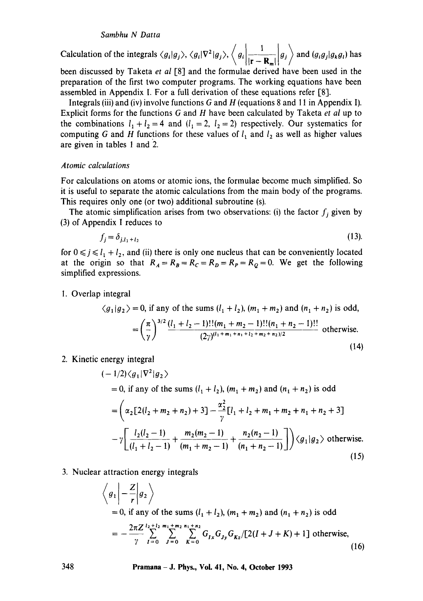Calculation of the integrals  $\langle g_i | g_j \rangle$ ,  $\langle g_i | \nabla^2 | g_j \rangle$ ,  $\langle g_i | \frac{1}{|\mathbf{r} - \mathbf{R}_m|} | g_j \rangle$  and  $(g_i g_j | g_k g_i)$  has

been discussed by Taketa *et al* [8] and the formulae derived have been used in the preparation of the first two computer programs. The working equations have been assembled in Appendix I. For a full derivation of these equations refer [8].

Integrals (iii) and (iv) involve functions G and H (equations 8 and 11 in Appendix I). Explicit forms for the functions G and H have been calculated by Taketa *et al* up to the combinations  $l_1 + l_2 = 4$  and  $(l_1 = 2, l_2 = 2)$  respectively. Our systematics for computing G and H functions for these values of  $l_1$  and  $l_2$  as well as higher values are given in tables 1 and 2.

### *Atomic calculations*

For calculations on atoms or atomic ions, the formulae become much simplified. So it is useful to separate the atomic calculations from the main body of the programs. This requires only one (or two) additional subroutine (s).

The atomic simplification arises from two observations: (i) the factor  $f_i$  given by (3) of Appendix I reduces to

$$
f_j = \delta_{j,l_1+l_2} \tag{13}
$$

for  $0 \le j \le l_1 + l_2$ , and (ii) there is only one nucleus that can be conveniently located at the origin so that  $R_A = R_B = R_C = R_D = R_P = R_Q = 0$ . We get the following simplified expressions.

#### I. Overlap integral

$$
\langle g_1 | g_2 \rangle = 0
$$
, if any of the sums  $(l_1 + l_2)$ ,  $(m_1 + m_2)$  and  $(n_1 + n_2)$  is odd,  
\n
$$
= \left(\frac{\pi}{\gamma}\right)^{3/2} \frac{(l_1 + l_2 - 1)!!(m_1 + m_2 - 1)!!(n_1 + n_2 - 1)!!}{(2\gamma)^{(l_1 + m_1 + n_1 + l_2 + m_2 + n_2)/2}}
$$
 otherwise. (14)

2. Kinetic energy integral

$$
(-1/2)\langle g_1|\nabla^2|g_2\rangle
$$
  
= 0, if any of the sums  $(l_1 + l_2)$ ,  $(m_1 + m_2)$  and  $(n_1 + n_2)$  is odd  

$$
= \left(\alpha_2[2(l_2 + m_2 + n_2) + 3] - \frac{\alpha_2^2}{\gamma} [l_1 + l_2 + m_1 + m_2 + n_1 + n_2 + 3] - \gamma \left[\frac{l_2(l_2 - 1)}{(l_1 + l_2 - 1)} + \frac{n_2(m_2 - 1)}{(m_1 + m_2 - 1)}\right] \rangle \langle g_1|g_2\rangle \text{ otherwise.}
$$
(15)

3. Nuclear attraction energy integrals

$$
\left\langle g_1 \middle| -\frac{Z}{r} \middle| g_2 \right\rangle
$$
  
= 0, if any of the sums  $(l_1 + l_2)$ ,  $(m_1 + m_2)$  and  $(n_1 + n_2)$  is odd  
=  $-\frac{2\pi Z}{\gamma} \sum_{I=0}^{l_2 + l_2} \sum_{J=0}^{m_1 + m_2} \sum_{K=0}^{n_1 + n_2} G_{Jx} G_{Jy} G_{Kz} / [2(l + J + K) + 1]$  otherwise, (16)

**348 Pramana- J. Phys., Vol. 41, No. 4, October 1993**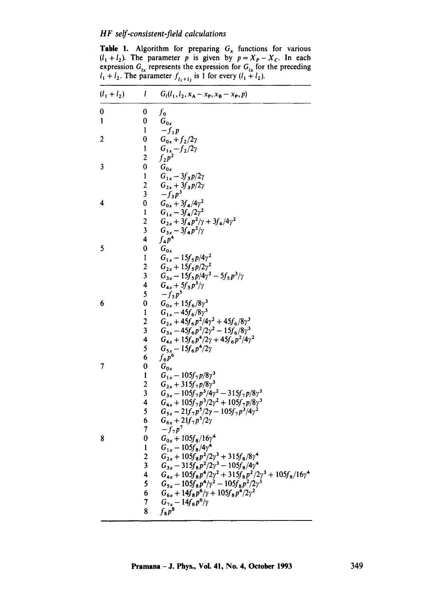**Table 1.** Algorithm for preparing  $G_x$  functions for various  $(l_1 + l_2)$ . The parameter p is given by  $p = X_p - X_c$ . In each expression  $G_{tx}$  represents the expression for  $G_{tx}$  for the preceding  $I_1 + I_2$ . The parameter  $f_{i_1+i_2}$  is 1 for every  $(I_1 + I_2)$ .

| $(l_1 + l_2)$ | $\mathfrak l$                           | $G_l(l_1, l_2, x_A - x_P, x_B - x_P, p)$                                 |
|---------------|-----------------------------------------|--------------------------------------------------------------------------|
| 0             | 0                                       | $f_{\mathbf{0}}$                                                         |
| $\mathbf{1}$  | $\bf{0}$                                | $G_{0x}$                                                                 |
|               | 1                                       | $-f_1 p$                                                                 |
| 2             | 0                                       | $G_{0x}+f_2/2\gamma$                                                     |
|               | $\mathbf{1}$<br>$\overline{\mathbf{c}}$ | $G_{1x}-f_2/2\gamma$<br>$f_2 p^2$                                        |
| 3             | 0                                       | $G_{0x}$                                                                 |
|               | 1                                       | $G_{1x} - 3f_3p/2y$                                                      |
|               | $\overline{c}$                          | $G_{2x} + 3f_3 p/2y$                                                     |
|               | $\overline{\mathbf{3}}$                 | $-f_3p^3$                                                                |
| 4             | 0                                       | $G_{0x} + 3f_4/4y^2$                                                     |
|               | $\mathbf{1}$                            | $G_{1x} - 3f_4/2\gamma^2$                                                |
|               | $\overline{c}$                          | $G_{2x} + 3f_4 p^2/\gamma + 3f_4/4\gamma^2$                              |
|               | 3                                       | $G_{3x} - 3f_4 p^2 / \gamma$                                             |
|               | 4                                       | $f_4p^4$                                                                 |
| 5             | $\bf{0}$<br>$\mathbf{I}$                | $G_{0x}$<br>$G_{1x} - 15f_5 p/4y^2$                                      |
|               | $\overline{c}$                          | $G_{2x} + 15f_5 p/2\gamma^2$                                             |
|               | 3                                       | $G_{3x} - 15f_5 p/4\gamma^2 - 5f_5 p^3/\gamma$                           |
|               | 4                                       | $G_{4x} + 5f_5p^3/\gamma$                                                |
|               | 5                                       | $-f_5p^5$                                                                |
| 6             | 0                                       | $G_{0x} + 15f_6/8\gamma^3$                                               |
|               | 1                                       | $G_{1x} - 45f_6/8\gamma^3$                                               |
|               | $\overline{c}$                          | $G_{2x} + 45f_6p^2/4\gamma^2 + 45f_6/8\gamma^3$                          |
|               | 3                                       | $G_{3x} - 45f_6p^2/2\gamma^2 - 15f_6/8\gamma^3$                          |
|               | 4<br>5                                  | $G_{4x} + 15f_6p^4/2\gamma + 45f_6p^2/4\gamma^2$                         |
|               | 6                                       | $G_{5x} - 15f_6p^4/2y$<br>$f_6 p^6$                                      |
| 7             | $\bf{0}$                                | $G_{0x}$                                                                 |
|               | 1                                       | $G_{1x} - 105f_7p/8\gamma^3$                                             |
|               | $\overline{c}$                          | $G_{2x} + 315f_7p/8\gamma^3$                                             |
|               | 3                                       | $G_{3x} - 105f_7p^3/4\gamma^2 - 315f_7p/8\gamma^3$                       |
|               | 4                                       | $G_{4x} + 105f_7p^3/2\gamma^2 + 105f_7p/8\gamma^3$                       |
|               | 5                                       | $G_{5x} - 21f_7p^5/2\gamma - 105f_7p^3/4\gamma^2$                        |
|               | 6                                       | $G_{6x} + 21f_7p^5/2y$                                                   |
| 8             | 7<br>0                                  | $-f_7p^7$<br>$G_{0x} + 105f_8/16\gamma^4$                                |
|               | $\mathbf{1}$                            | $G_{1x} - 105f_8/4\gamma^4$                                              |
|               | $\overline{c}$                          | $G_{2x} + 105f_8p^2/2\gamma^3 + 315f_8/8\gamma^4$                        |
|               | 3                                       | $G_{3x} - 315f_8p^2/2y^3 - 105f_8/4y^4$                                  |
|               | 4                                       | $G_{4x} + 105f_8p^4/2\gamma^2 + 315f_8p^2/2\gamma^3 + 105f_8/16\gamma^4$ |
|               | 5                                       | $G_{5x} - 105f_8p^4/\gamma^2 - 105f_8p^2/2\gamma^3$                      |
|               | 6                                       | $G_{6x} + 14f_8p^6/\gamma + 105f_8p^4/2\gamma^2$                         |
|               | 7                                       | $G_{7x} - 14f_8p^6/\gamma$                                               |
|               | 8                                       | $f_8p^8$                                                                 |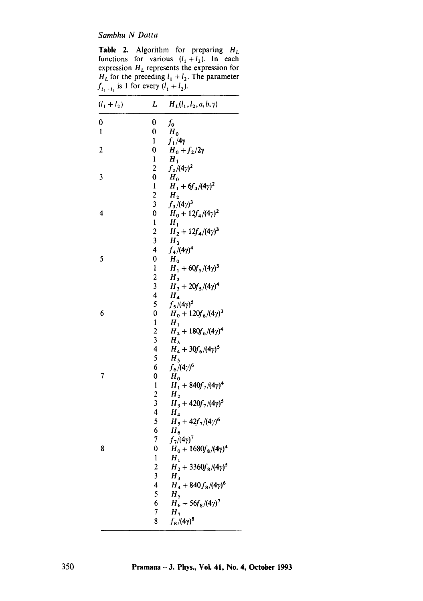**Table 2.** Algorithm for preparing  $H_L$ functions for various  $(l_1+l_2)$ . In each expression  $H<sub>L</sub>$  represents the expression for  $H_L$  for the preceding  $l_1 + l_2$ . The parameter  $f_{l_1+l_2}$  is 1 for every  $(l_1 + l_2)$ .

| $(l_1 + l_2)$ | L                            | $H_L(l_1, l_2, a, b, \gamma)$               |
|---------------|------------------------------|---------------------------------------------|
| 0             | 0                            | $f_{\mathsf{o}}$                            |
| 1             | 0                            | $H_0$                                       |
|               | $\mathbf{1}$                 | $f_1/4\gamma$                               |
| 2             | 0                            | $H_0 + f_2/2\gamma$                         |
|               | $\mathbf{1}$                 | $H_1$                                       |
|               | $\overline{a}$               | $f_2/(4\gamma)^2$                           |
| 3             | 0                            | $H_0$                                       |
|               | 1                            | $H_1 + 6f_3/(4\gamma)^2$                    |
|               | 2                            | H <sub>2</sub>                              |
|               | 3                            | $f_3/(4\gamma)^3$                           |
| 4             | 0                            | $H_0 + 12f_4/(4\gamma)^2$                   |
|               | 1                            | $H_1$                                       |
|               | $\overline{c}$               | $H_2 + 12 f_4 / (4 \gamma)^3$               |
|               | 3<br>4                       | $H_3$                                       |
| 5             | 0                            | $f_4/(4\gamma)^4$                           |
|               |                              | $H_0$                                       |
|               | 1<br>$\overline{2}$          | $H_1 + 60f_5/(4\gamma)^3$<br>H <sub>2</sub> |
|               | 3                            | $H_3 + 20f_5/(4\gamma)^4$                   |
|               | 4                            | $H_{4}$                                     |
|               | 5                            | $f_5/(4\gamma)^5$                           |
| 6             | 0                            | $H_0 + 120 f_6 / (4 \gamma)^3$              |
|               | $\mathbf{1}$                 | $H_1$                                       |
|               | $\overline{2}$               | $H_2 + 180 f_6/(4\gamma)^4$                 |
|               | 3                            | $H_3$                                       |
|               | 4                            | $H_4 + 30 f_6 / (4 \gamma)^5$               |
|               | 5                            | $H_5$                                       |
|               | 6                            | $f_6/(4\gamma)^6$                           |
| 7             | 0                            | $H_0$                                       |
|               | 1                            | $H_1 + 840f_7/(4\gamma)^4$                  |
|               | 2                            | $H_{2}$                                     |
|               | 3                            | $H_3 + 420f_7/(4\gamma)^5$                  |
|               | 4                            | $H_4$                                       |
|               | 5                            | $H_5 + 42f_7/(4\gamma)^6$                   |
|               | 6                            | $H_6$                                       |
|               | 7                            | $f_7/(4\gamma)^7$                           |
| 8             | $\boldsymbol{0}$             | $H_0 + 1680 f_8 / (4 \gamma)^4$             |
|               | 1                            | $H_1$                                       |
|               | 2<br>$\overline{\mathbf{3}}$ | $H_2 + 3360 f_8/(4\gamma)^5$                |
|               | 4                            | $H_3$<br>$H_4 + 840 f_8 / (4\gamma)^6$      |
|               | 5                            | H <sub>5</sub>                              |
|               | 6                            | $H_6 + 56f_8/(4\gamma)^7$                   |
|               | 7                            | H <sub>7</sub>                              |
|               | 8                            | $f_{8}/(4\gamma)^{8}$                       |
|               |                              |                                             |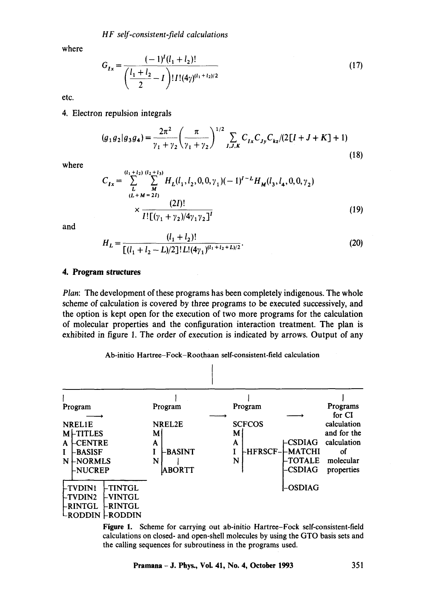where

$$
G_{Ix} = \frac{(-1)^{I}(l_{1} + l_{2})!}{\left(\frac{l_{1} + l_{2}}{2} - I\right)! I!(4\gamma)^{(l_{1} + l_{2})/2}}
$$
\n(17)

etc.

### 4. Electron repulsion integrals

$$
(g_1 g_2 | g_3 g_4) = \frac{2\pi^2}{\gamma_1 + \gamma_2} \left(\frac{\pi}{\gamma_1 + \gamma_2}\right)^{1/2} \sum_{I,J,K} C_{Ix} C_{Jy} C_{kz} / (2[I + J + K] + 1)
$$
\n(18)

where

$$
C_{Ix} = \sum_{L}^{(l_1 + l_2)} \sum_{M}^{(l_2 + l_3)} H_L(l_1, l_2, 0, 0, \gamma_1) (-1)^{I-L} H_M(l_3, l_4, 0, 0, \gamma_2)
$$
  

$$
\times \frac{(2I)!}{I! \left[ (\gamma_1 + \gamma_2) / 4 \gamma_1 \gamma_2 \right]^I}
$$
 (19)

and

$$
H_L = \frac{(l_1 + l_2)!}{[(l_1 + l_2 - L)/2]! L!(4\gamma_1)^{(l_1 + l_2 + L)/2}}.
$$
\n(20)

### **4. Program structures**

*Plan:* The development of these programs has been completely indigenous. The whole scheme of calculation is covered by three programs to be executed successively, and the option is kept open for the execution of two more programs for the calculation of molecular properties and the configuration interaction treatment. The plan is exhibited in figure 1. The order of execution is indicated by arrows. Output of any

# Ab-initio Hartree-Fock-Roothaan self-consistent-field calculation



Figure 1. Scheme for carrying out ab-initio Hartree-Fock self-consistent-field calculations on closed- and open-shell molecules by using the GTO basis sets and the calling sequences for subroutiness in the programs used.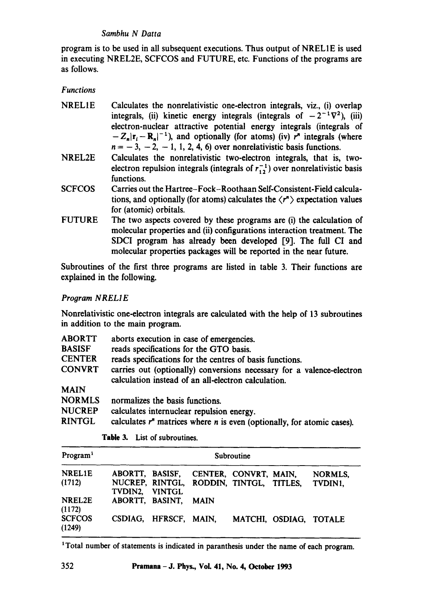program is to be used in all subsequent executions. Thus output of NREL1E is used in executing NREL2E, SCFCOS and FUTURE, etc. Functions of the programs are as follows.

*Functions* 

- NRELIE Calculates the nonrelativistic one-dectron integrals, viz., (i) overlap integrals, (ii) kinetic energy integrals (integrals of  $-2^{-1}\nabla^2$ ), (iii) electron-nuclear attractive potential energy integrals (integrals of  $-Z_n|r_i - R_n|^{-1}$ ), and optionally (for atoms) (iv) r<sup>n</sup> integrals (where  $n = -3, -2, -1, 1, 2, 4, 6$  over nonrelativistic basis functions.
- NREL2E Calculates the nonrelativistic two-electron integrals, that is, twoelectron repulsion integrals (integrals of  $r_{12}^{-1}$ ) over nonrelativistic basis functions.
- SCFCOS Carries out the Hartree-Fock-Roothaan Self-Consistent-Fidd calculations, and optionally (for atoms) calculates the  $\langle r^n \rangle$  expectation values for (atomic) orbitals.
- FUTURE The two aspects covered by these programs are (i) the calculation of molecular properties and (ii) configurations interaction treatment. The SDCI program has already been developed [9]. The full CI and molecular properties packages will be reported in the near future.

Subroutines of the first three programs are listed in table 3. Their functions are explained in the following.

*Program N REL I E* 

Nonrelativistic one-electron integrals are calculated with the help of 13 subroutines in addition to the main program.

| aborts execution in case of emergencies.                                                                                     |
|------------------------------------------------------------------------------------------------------------------------------|
| reads specifications for the GTO basis.                                                                                      |
| reads specifications for the centres of basis functions.                                                                     |
| carries out (optionally) conversions necessary for a valence-electron<br>calculation instead of an all-electron calculation. |
|                                                                                                                              |
| normalizes the basis functions.                                                                                              |
| calculates internuclear repulsion energy.                                                                                    |
| calculates $rn$ matrices where <i>n</i> is even (optionally, for atomic cases).                                              |
|                                                                                                                              |

| Program <sup>1</sup>    |                 |                       |                                                                                  | Subroutine |                        |                    |
|-------------------------|-----------------|-----------------------|----------------------------------------------------------------------------------|------------|------------------------|--------------------|
| <b>NREL1E</b><br>(1712) | TVDIN2. VINTGL  |                       | ABORTT, BASISF, CENTER, CONVRT, MAIN,<br>NUCREP, RINTGL, RODDIN, TINTGL, TITLES, |            |                        | NORMLS,<br>TVDIN1. |
| NREL2E<br>(1172)        | ABORTT, BASINT, |                       | <b>MAIN</b>                                                                      |            |                        |                    |
| <b>SCFCOS</b><br>(1249) |                 | CSDIAG, HFRSCF, MAIN, |                                                                                  |            | MATCHI, OSDIAG, TOTALE |                    |

Table 3. List of subroutines.

<sup>1</sup>Total number of statements is indicated in paranthesis under the name of each program.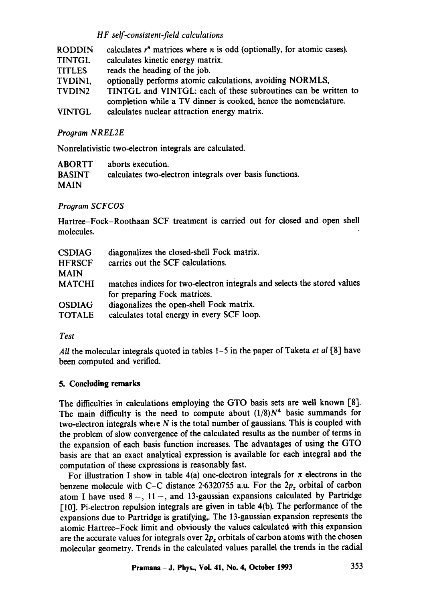| <b>RODDIN</b>      | calculates $rn$ matrices where <i>n</i> is odd (optionally, for atomic cases). |
|--------------------|--------------------------------------------------------------------------------|
| <b>TINTGL</b>      | calculates kinetic energy matrix.                                              |
| <b>TITLES</b>      | reads the heading of the job.                                                  |
| TVDIN1,            | optionally performs atomic calculations, avoiding NORMLS,                      |
| TVDIN <sub>2</sub> | TINTGL and VINTGL: each of these subroutines can be written to                 |
|                    | completion while a TV dinner is cooked, hence the nomenclature.                |
| <b>VINTGL</b>      | calculates nuclear attraction energy matrix.                                   |

# **Program NREL2E**

Nonrelativistic two-electron integrals are calculated.

| <b>ABORTT</b> | aborts execution.                                       |
|---------------|---------------------------------------------------------|
| <b>BASINT</b> | calculates two-electron integrals over basis functions. |
| <b>MAIN</b>   |                                                         |

# *Program SCFCOS*

Hartree-Fock-Roothaan SCF treatment is carried out for closed and open shell molecules.

| <b>CSDIAG</b> | diagonalizes the closed-shell Fock matrix.                               |
|---------------|--------------------------------------------------------------------------|
| <b>HFRSCF</b> | carries out the SCF calculations.                                        |
| <b>MAIN</b>   |                                                                          |
| <b>MATCHI</b> | matches indices for two-electron integrals and selects the stored values |
|               | for preparing Fock matrices.                                             |
| <b>OSDIAG</b> | diagonalizes the open-shell Fock matrix.                                 |
| <b>TOTALE</b> | calculates total energy in every SCF loop.                               |

### *Test*

*All* the molecular integrals quoted in tables 1-5 in the paper of Taketa *et al* [8] have been computed and verified.

# **5. Concluding remarks**

The difficulties in calculations employing the GTO basis sets are well known [8]. The main difficulty is the need to compute about  $(1/8)N<sup>4</sup>$  basic summands for two-electron integrals where  $N$  is the total number of gaussians. This is coupled with the problem of slow convergence of the calculated results as the number of terms in the expansion of each basis function increases. The advantages of using the GTO basis are that an exact analytical expression is available for each integral and the computation of these expressions is reasonably fast.

For illustration I show in table 4(a) one-electron integrals for  $\pi$  electrons in the benzene molecule with C-C distance 2.6320755 a.u. For the  $2p<sub>z</sub>$  orbital of carbon atom I have used  $8-, 11-,$  and 13-gaussian expansions calculated by Partridge  $[10]$ . Pi-electron repulsion integrals are given in table 4(b). The performance of the expansions due to Partridge is gratifying,. The 13-gaussian expansion represents the atomic Hartree-Fock limit and obviously the values calculated with this expansion are the accurate values for integrals over  $2p<sub>z</sub>$  orbitals of carbon atoms with the chosen molecular geometry. Trends in the calculated values parallel the trends in the radial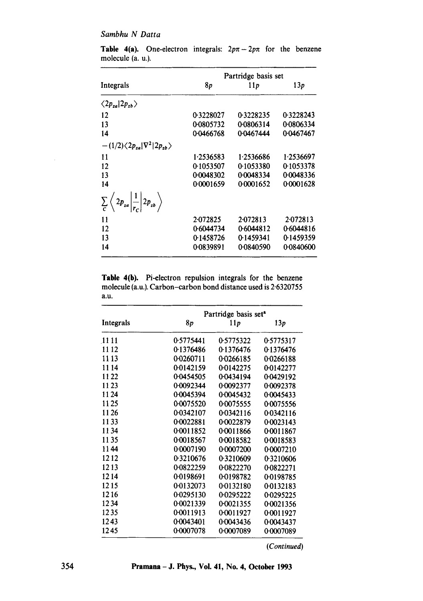|           | Partridge basis set |           |
|-----------|---------------------|-----------|
| 8p        | 11p                 | 13p       |
|           |                     |           |
| 0.3228027 | 0.3228235           | 0.3228243 |
| 00805732  | 0.0806314           | 0.0806334 |
| 0.0466768 | 0.0467444           | 0.0467467 |
|           |                     |           |
| 1.2536583 | 1.2536686           | 1.2536697 |
| 0.1053507 | 0.1053380           | 0.1053378 |
| 0.0048302 | 0.0048334           | 0.0048336 |
| 0.0001659 | 0.0001652           | 0.0001628 |
|           |                     |           |
| 2.072825  | 2.072813            | 2.072813  |
| 0.6044734 | 0.6044812           | 0.6044816 |
| 0.1458726 | 0.1459341           | 0.1459359 |
| 0.0839891 | 0.0840590           | 00840600  |
|           |                     |           |

**Table 4(a).** One-electron integrals:  $2p\pi - 2p\pi$  for the benzene molecule (a. u.).

**Table** 4(b). Pi-electron repulsion integrals for the benzene molecule (a.u.). Carbon-carbon bond distance used is 2.6320755 a.u.

|              |           | Partridge basis set <sup>a</sup> |           |  |  |
|--------------|-----------|----------------------------------|-----------|--|--|
| Integrals    | 8p        | 11p                              | 13p       |  |  |
| <b>11 11</b> | 0.5775441 | 0.5775322                        | 0.5775317 |  |  |
| 1112         | 0.1376486 | 0.1376476                        | 0.1376476 |  |  |
| 11 13        | 0.0260711 | 0.0266185                        | 00266188  |  |  |
| 1114         | 0.0142159 | 0.0142275                        | 0.0142277 |  |  |
| 1122         | 0.0454505 | 0.0434194                        | 0.0429192 |  |  |
| 11 23        | 0.0092344 | 0.0092377                        | 0.0092378 |  |  |
| 11 24        | 0.0045394 | 0.0045432                        | 0.0045433 |  |  |
| 11 25        | 0.0075520 | 0.0075555                        | 0.0075556 |  |  |
| 1126         | 0.0342107 | 0.0342116                        | 0.0342116 |  |  |
| 1133         | 0.0022881 | 0.0022879                        | 0.0023143 |  |  |
| 1134         | 0.0011852 | 0.0011866                        | 0.0011867 |  |  |
| 1135         | 0.0018567 | 0.0018582                        | 0.0018583 |  |  |
| 1144         | 0.0007190 | 0.0007200                        | 0.0007210 |  |  |
| 1212         | 0.3210676 | 0.3210609                        | 0.3210606 |  |  |
| 1213         | 0.0822259 | 0.0822270                        | 0.0822271 |  |  |
| 1214         | 0.0198691 | 00198782                         | 0.0198785 |  |  |
| 1215         | 0.0132073 | 0.0132180                        | 0.0132183 |  |  |
| 1216         | 0.0295130 | 0.0295222                        | 0.0295225 |  |  |
| 1234         | 0.0021339 | 0.0021355                        | 0.0021356 |  |  |
| 1235         | 0.0011913 | 0.0011927                        | 0.0011927 |  |  |
| 1243         | 0.0043401 | 0.0043436                        | 0.0043437 |  |  |
| 1245         | 0.0007078 | 0.0007089                        | 0.0007089 |  |  |

*(Continued)* 

 $\bar{z}$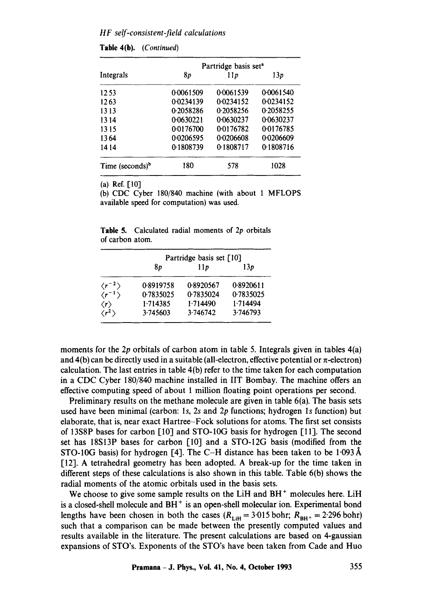|                    |           | Partridge basis set <sup>a</sup> |           |
|--------------------|-----------|----------------------------------|-----------|
| Integrals          | 8p        | 11p                              | 13p       |
| 12.53              | 0.0061509 | 0.0061539                        | 0.0061540 |
| 12.63              | 0.0234139 | 0.0234152                        | 0.0234152 |
| 1313               | 0.2058286 | 0.2058256                        | 0.2058255 |
| 1314               | 0.0630221 | 0.0630237                        | 0.0630237 |
| 1315               | 0.0176700 | 0.0176782                        | 0.0176785 |
| 1364               | 0.0206595 | 0.0206608                        | 0.0206609 |
| 1414               | 0.1808739 | 0.1808717                        | 0.1808716 |
| Time (seconds) $b$ | 180       | 578                              | 1028      |

**(a) Ref. [10]** 

(b) CDC Cyber 180/840 machine (with about 1 MFLOPS available speed for computation) was used.

**Table 5.** Calculated radial moments of 2p orbitals of carbon atom.

|                          | Partridge basis set [10] |           |           |  |
|--------------------------|--------------------------|-----------|-----------|--|
|                          | 8p                       | 11p       | 13p       |  |
| $\langle r^{-2} \rangle$ | 0.8919758                | 0.8920567 | 0.8920611 |  |
| $\langle r^{-1} \rangle$ | 0.7835025                | 0.7835024 | 0.7835025 |  |
| $\langle r \rangle$      | 1.714385                 | 1.714490  | 1.714494  |  |
| $\langle r^2 \rangle$    | 3.745603                 | 3.746742  | 3.746793  |  |

moments for the 2p orbitals of carbon atom in table 5. Integrals given in tables 4(a) and 4(b) can be directly used in a suitable (all-electron, effective potential or  $\pi$ -electron) calculation. The last entries in table 4(b) refer to the time taken for each computation in a CDC Cyber 180/840 machine installed in liT Bombay. The machine offers an effective computing speed of about 1 million floating point operations per second.

Preliminary results on the methane molecule are given in table 6(a). The basis sets used have been minimal (carbon: 1s, 2s and  $2p$  functions; hydrogen 1s function) but elaborate, that is, near exact Hartree-Fock solutions for atoms. The first set consists of 13S8P bases for carbon [10] and STO-10G basis forhydrogen [11]. The second set has 18S13P bases for carbon [10] and a STO-12G basis (modified from the STO-10G basis) for hydrogen [4]. The C-H distance has been taken to be 1.093 Å [12]. A tetrahedral geometry has been adopted. A break-up for the time taken in different steps of these calculations is also shown in this table. Table 6(b) shows the radial moments of the atomic orbitals used in the basis sets.

We choose to give some sample results on the LiH and  $BH<sup>+</sup>$  molecules here. LiH is a closed-shell molecule and BH<sup>+</sup> is an open-shell molecular ion. Experimental bond lengths have been chosen in both the cases  $(R_{\text{Liff}} = 3.015 \text{ bohr}; R_{\text{BH}+} = 2.296 \text{ bohr})$ such that a comparison can be made between the presently computed values and results available in the literature. The present calculations are based on 4-gaussian expansions of STO's. Exponents of the STO's have been taken from Cade and Huo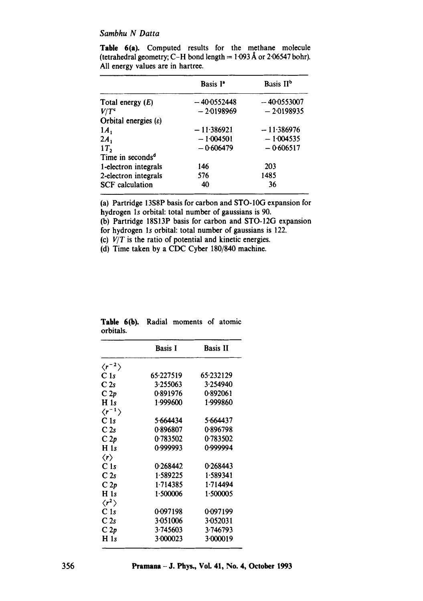|                                  | Basis I <sup>®</sup> | Basis II <sup>b</sup> |
|----------------------------------|----------------------|-----------------------|
| Total energy $(E)$               | $-40.0552448$        | $-40.0553007$         |
| $V/T$ <sup>c</sup>               | $-2.0198969$         | $-2.0198935$          |
| Orbital energies $(\varepsilon)$ |                      |                       |
| $1A_1$                           | $-11.386921$         | $-11.386976$          |
| $2A_1$                           | $-1.004501$          | $-1.004535$           |
| 1T <sub>2</sub>                  | $-0.606479$          | $-0.606517$           |
| Time in seconds <sup>d</sup>     |                      |                       |
| 1-electron integrals             | 146                  | 203                   |
| 2-electron integrals             | 576                  | 1485                  |
| <b>SCF</b> calculation           | 40                   | 36                    |

**Table** 6(a). Computed results for the methane molecule (tetrahedral geometry; C-H bond length =  $1.093 \text{ Å}$  or 2.06547 bohr). All energy values are in hartree.

(a) Partridge 13S8P basis for carbon and STO-10G expansion for hydrogen ls orbital: total number of gaussians is 90.

(b) Partridge 18S13P basis for carbon and STO-12G expansion for hydrogen ls orbital: total number of gaussians is 122.

(c) *V/T* is the ratio of potential and kinetic energies.

(d) Time taken by a CDC Cyber 180/840 machine.

|                          | <b>Basis I</b> | <b>Basis II</b> |
|--------------------------|----------------|-----------------|
| $\langle r^{-2} \rangle$ |                |                 |
| C <sub>1s</sub>          | 65.227519      | 65.232129       |
| C <sub>2s</sub>          | 3.255063       | 3.254940        |
| C2p                      | 0.891976       | 0.892061        |
| H <sub>1s</sub>          | 1.999600       | 1.999860        |
| $\langle r^{-1} \rangle$ |                |                 |
| C <sub>1s</sub>          | 5.664434       | 5.664437        |
| C2s                      | 0.896807       | 0.896798        |
| C2p                      | 0.783502       | 0.783502        |
| H <sub>1s</sub>          | 0.999993       | 0.999994        |
| $\langle r \rangle$      |                |                 |
| C1s                      | 0.268442       | 0.268443        |
| C <sub>2s</sub>          | 1.589225       | 1.589341        |
| C2p                      | 1.714385       | 1.714494        |
| H <sub>1s</sub>          | 1.500006       | 1.500005        |
| $\langle r^2\rangle$     |                |                 |
| C <sub>1s</sub>          | 0.097198       | 0.097199        |
| C <sub>2s</sub>          | 3.051006       | 3.052031        |
| C2p                      | 3.745603       | 3.746793        |
| H <sub>1s</sub>          | 3.000023       | 3.000019        |

|           |  | Table 6(b). Radial moments of atomic |  |
|-----------|--|--------------------------------------|--|
| orbitals. |  |                                      |  |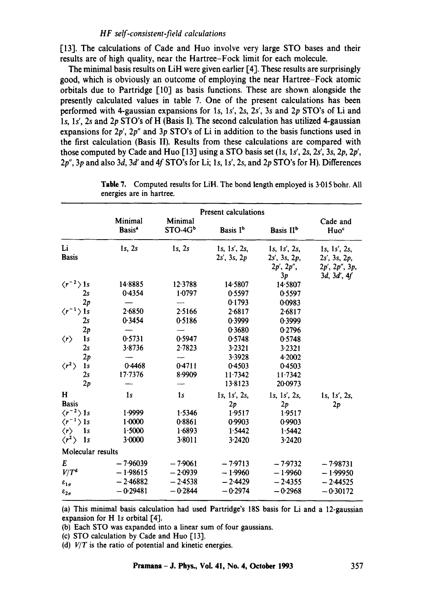[13]. The calculations of Cade and Huo involve very large STO bases and their results are of high quality, near the Hartree-Fock limit for each molecule.

The minimal basis results on LiH were given earlier [4]. These results are surprisingly good, which is obviously an outcome of employing the near Hartree-Fock atomic orbitals due to Partridge [10] as basis functions. These are shown alongside the presently calculated values in table 7. One of the present calculations has been performed with 4-gaussian expansions for Is, Is', 2s, 2s', 3s and 2p STO's of Li and 1s, 1s', 2s and 2p STO's of H (Basis I). The second calculation has utilized 4-gaussian expansions for 2p', *2p"* and 3p STO's of Li in addition to the basis functions used in the first calculation (Basis II). Results from these calculations are compared with those computed by Cade and Huo  $[13]$  using a STO basis set  $(1s, 1s', 2s, 2s', 3s, 2p, 2p', 2p')$ *2p", 3p* and also 3d, 3d' and 4f STO's for Li; Is, *Is', 2s,* and 2p STO's for H). Differences

|                                        |                               | <b>Present calculations</b> |                                  |                                 |                                        |
|----------------------------------------|-------------------------------|-----------------------------|----------------------------------|---------------------------------|----------------------------------------|
|                                        | Minimal<br>Basis <sup>a</sup> | Minimal<br>$STO-4Gb$        | Basis I <sup>b</sup>             | Basis II <sup>b</sup>           | Cade and<br>Huo <sup>c</sup>           |
| Li<br><b>Basis</b>                     | $1s$ , $2s$                   | $1s$ , $2s$                 | 1s, 1s', 2s,<br>$2s'$ , 3s, $2p$ | 1s, 1s', 2s,<br>$2s'$ , 3s, 2p, | 1s, 1s', 2s,<br>$2s'$ , $3s$ , $2p$ ,  |
|                                        |                               |                             |                                  | 2p', 2p'',<br>3p                | $2p'$ , $2p''$ , $3p$ ,<br>3d, 3d', 4f |
| $\langle r^{-2} \rangle$ 1s            | 14.8885                       | 12.3788                     | 14.5807                          | 14.5807                         |                                        |
| 2s                                     | 0.4354                        | 1.0797                      | 0.5597                           | 0.5597                          |                                        |
| 2p                                     |                               |                             | 0.1793                           | 0.0983                          |                                        |
| $\langle r^{-1} \rangle$ 1s            | 2.6850                        | 2.5166                      | 2.6817                           | 2.6817                          |                                        |
| 2s                                     | 0.3454                        | 0.5186                      | 0.3999                           | 0.3999                          |                                        |
| 2p                                     |                               |                             | 0.3680                           | 0.2796                          |                                        |
| 1 <sub>s</sub><br>$\langle r \rangle$  | 0.5731                        | 0.5947                      | 0.5748                           | 0.5748                          |                                        |
| 2s                                     | 3.8736                        | 2.7823                      | 3.2321                           | 3.2321                          |                                        |
| 2p                                     |                               |                             | 3.3928                           | 4.2002                          |                                        |
| $\langle r^2 \rangle$<br>1s            | 0.4468                        | 0.4711                      | 0.4503                           | 0.4503                          |                                        |
| 2s                                     | $17 - 7376$                   | 8.9909                      | 11.7342                          | 11.7342                         |                                        |
| 2p                                     |                               |                             | 13.8123                          | 20.0973                         |                                        |
| н                                      | 1s                            | 1 <sub>s</sub>              | 1s, 1s', 2s,                     | 1s, 1s', 2s,                    | 1s, 1s', 2s,                           |
| <b>Basis</b>                           |                               |                             | 2p                               | 2p                              | 2p                                     |
| $\langle r^{-2} \rangle$ 1s            | 1.9999                        | 1.5346                      | 1.9517                           | 1.9517                          |                                        |
| $\langle r^{-1} \rangle$ 1s            | $1 - 0000$                    | 0.8861                      | 0.9903                           | 0.9903                          |                                        |
| $\langle r \rangle$<br>$\frac{1}{s}$   | 1.5000                        | 1.6893                      | 1.5442                           | 1.5442                          |                                        |
| $\langle r^2 \rangle$<br>$\mathbf{1}s$ | 3.0000                        | 3.8011                      | 3.2420                           | 3.2420                          |                                        |
| Molecular results                      |                               |                             |                                  |                                 |                                        |
| E                                      | $-7.96039$                    | $-7.9061$                   | $-7.9713$                        | $-7.9732$                       | $-7.98731$                             |
| $V/T^d$                                | $-1.98615$                    | $-2.0939$                   | $-1.9960$                        | $-1.9960$                       | $-1.99950$                             |
| $\varepsilon_{1\sigma}$                | $-2.46882$                    | $-2.4538$                   | $-2.4429$                        | $-2.4355$                       | $-2.44525$                             |
| $\varepsilon_{2\sigma}$                | $-0.29481$                    | $-0.2844$                   | $-0.2974$                        | $-0.2968$                       | $-0.30172$                             |

**Table** 7. Computed results for LiH. The bond length employed is 3.015 bohr. All energies are in hartree.

(a) This minimal basis calculation had used Partridge's 18S basis for Li and a 12-gaussian expansion for  $H$  1s orbital  $[4]$ .

(b) Each STO was expanded into a linear sum of four gaussians.

(c) STO calculation by Cade and Huo [13].

(d) *V/T* is the ratio of potential and kinetic energies.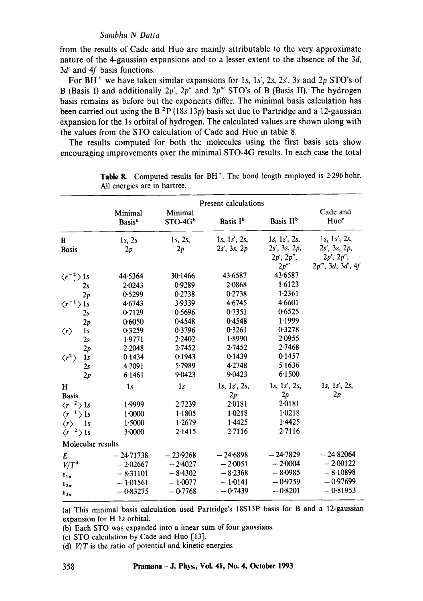from the results of Cade and Huo are mainly attributable to the very approximate nature of the 4-gaussian expansions and to a lesser extent to the absence of the 3d, 3d' and 4f basis functions.

For BH ÷ we have taken similar expansions for Is, *Is', 2s, 2s', 3s* and 2p STO's of B (Basis I) and additionally 2p', 2p" and *2p'"* STO's of B (Basis II). The hydrogen basis remains as before but the exponents differ. The minimal basis calculation has been carried out using the B.<sup>2</sup>P (18s 13p) basis set due to Partridge and a 12-gaussian expansion for the ls orbital of hydrogen. The calculated values are shown along with the values from the STO calculation of Cade and Huo in table 8.

The results computed for both the molecules using the first basis sets show encouraging improvements over the minimal STO-4G results. In each case the total

|                             | Present calculations          |                      |                      |                       |                              |
|-----------------------------|-------------------------------|----------------------|----------------------|-----------------------|------------------------------|
|                             | Minimal<br>Basis <sup>a</sup> | Minimal<br>$STO-4Gb$ | Basis I <sup>b</sup> | Basis II <sup>b</sup> | Cade and<br>Huo <sup>c</sup> |
| B                           | $1s$ , $2s$                   | 1s, 2s,              | 1s, 1s', 2s,         | 1s, 1s', 2s,          | 1s, 1s', 2s,                 |
| <b>Basis</b>                | 2p                            | 2p                   | $2s'$ , 3s, $2p$     | $2s'$ , 3s, 2p,       | $2s'$ , 3s, 2p,              |
|                             |                               |                      |                      | 2p', 2p'',            | 2p', 2p'',                   |
|                             |                               |                      |                      | 2p'''                 | $2p'''$ , 3d, 3d', 4f        |
| $\langle r^{-2} \rangle$ 1s | 44.5364                       | 30.1466              | 43.6587              | 43.6587               |                              |
| 2s                          | 2.0243                        | 0.9289               | 2.0868               | 1.6123                |                              |
| 2p                          | 0.5299                        | 0.2738               | 0.2738               | 1.2361                |                              |
| $\langle r^{-1} \rangle$ 1s | 4.6743                        | 3.9339               | 4.6745               | 4.6601                |                              |
| 2s                          | 0.7129                        | 0.5696               | 0.7351               | 0.6525                |                              |
| 2p                          | 0.6050                        | 0.4548               | 0.4548               | 1.1999                |                              |
| 1s<br>$\langle r \rangle$   | 0.3259                        | 0.3796               | 0.3261               | 0.3278                |                              |
| 2s                          | 1.9771                        | 2.2402               | 1.8990               | 2.0955                |                              |
| 2p                          | 2.2048                        | 2.7452               | 2.7452               | 2.7468                |                              |
| $\langle r^2\rangle$<br>1s  | 0.1434                        | 0.1943               | 0.1439               | 0.1457                |                              |
| 2s                          | 4.7091                        | 5.7989               | 4.2748               | 5.1636                |                              |
| 2p                          | 6.1461                        | 9.0423               | 9.0423               | 6.1500                |                              |
| H                           | 1 <sub>s</sub>                | 1s                   | 1s, 1s', 2s,         | 1s, 1s', 2s,          | 1s, 1s', 2s,                 |
| <b>Basis</b>                |                               |                      | 2p                   | 2p                    | 2p                           |
| $\langle r^{-2} \rangle$ 1s | 1.9999                        | 2.7239               | 2.0181               | 2.0181                |                              |
| $\langle r^{-1} \rangle$ 1s | 1.0000                        | 1.1805               | 1.0218               | 1.0218                |                              |
| 1s<br>$\langle r \rangle$   | 1.5000                        | 1.2679               | 1.4425               | 1.4425                |                              |
| $\langle r^{-2} \rangle$ 1s | 3.0000                        | 2.1415               | 2.7116               | 2.7116                |                              |
| Molecular results           |                               |                      |                      |                       |                              |
| E                           | $-24.71738$                   | $-23.9268$           | $-24.6898$           | $-24.7829$            | $-24.82064$                  |
| $V/T^d$                     | $-2.02667$                    | $-2.4027$            | $-2.0051$            | $-2.0004$             | $-2.00122$                   |
| $\varepsilon_{1g}$          | $-8.31101$                    | $-8.4302$            | $-8.2368$            | $-8.0985$             | $-8.10898$                   |
| $\varepsilon_{2\sigma}$     | $-1.01561$                    | $-1.0077$            | $-1.0141$            | $-0.9759$             | $-0.97699$                   |
| $\varepsilon_{3\sigma}$     | $-0.83275$                    | $-0.7768$            | $-0.7439$            | $-0.8201$             | $-0.81953$                   |
|                             |                               |                      |                      |                       |                              |

**Table 8.** Computed results for BH<sup>+</sup>. The bond length employed is 2.296 bohr. All energies are in hartree.

(a) This minimal basis calculation used Partridge's 18S13P basis for B and a 12-gaussian expansion for H 1s orbital.

(b) Each STO was expanded into a linear sum of four gaussians.

(c) STO calculation by Cade and Huo [13].

(d)  $V/T$  is the ratio of potential and kinetic energies.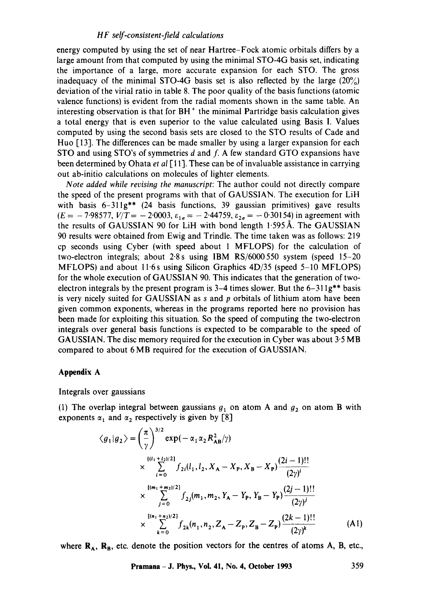energy computed by using the set of near Hartree-Fock atomic orbitals differs by a large amount from that computed by using the minimal STO-4G basis set, indicating the importance of a large, more accurate expansion for each STO. The gross inadequacy of the minimal STO-4G basis set is also reflected by the large  $(20\%)$ deviation of the virial ratio in table 8. The poor quality of the basis functions (atomic valence functions) is evident from the radial moments shown in the same table. An interesting observation is that for  $BH<sup>+</sup>$  the minimal Partridge basis calculation gives a total energy that is even superior to the value calculated using Basis I. Values computed by using the second basis sets are closed to the STO results of Cade and Huo [13]. The differences can be made smaller by using a larger expansion for each STO and using STO's of symmetries  $d$  and  $f$ . A few standard GTO expansions have been determined by Ohata *et al* [11]. These can be of invaluable assistance in carrying out ab-initio calculations on molecules of lighter elements.

*Note added while revising the manuscript:* The author could not directly compare the speed of the present programs with that of GAUSSIAN. The execution for LiH with basis 6-311g\*\* (24 basis functions, 39 gaussian primitives) gave results  $(E = -7.98577, V/T = -2.0003, \varepsilon_{1\sigma} = -2.44759, \varepsilon_{2\sigma} = -0.30154$ ) in agreement with the results of GAUSSIAN 90 for LiH with bond length  $1.595 \text{\AA}$ . The GAUSSIAN 90 results were obtained from Ewig and Trindle. The time taken was as follows: 219 cp seconds using Cyber (with speed about 1 MFLOPS) for the calculation of two-electron integrals; about 2'8s using IBM RS/6000550 system (speed 15-20 MFLOPS) and about 11.6s using Silicon Graphics  $4D/35$  (speed 5-10 MFLOPS) for the whole execution of GAUSSIAN 90. This indicates that the generation of twoelectron integrals by the present program is  $3-4$  times slower. But the  $6-311g^{**}$  basis is very nicely suited for GAUSSIAN as  $s$  and  $p$  orbitals of lithium atom have been given common exponents, whereas in the programs reported here no provision has been made for exploiting this situation. So the speed of computing the two-electron integrals over general basis functions is expected to be comparable to the speed of GAUSSIAN. The disc memory required for the execution in Cyber was about  $3.5 \text{ MB}$ compared to about 6 MB required for the execution of GAUSSIAN.

### **Appendix A**

Integrals over gaussians

(1) The overlap integral between gaussians  $g_1$  on atom A and  $g_2$  on atom B with exponents  $\alpha_1$  and  $\alpha_2$  respectively is given by [8]

$$
\langle g_1 | g_2 \rangle = \left(\frac{\pi}{\gamma}\right)^{3/2} \exp(-\alpha_1 \alpha_2 R_{AB}^2/\gamma)
$$
  
\n
$$
\times \sum_{i=0}^{[(l_1+l_2)/2]} f_{2i}(l_1, l_2, X_A - X_P, X_B - X_P) \frac{(2i-1)!!}{(2\gamma)^i}
$$
  
\n
$$
\times \sum_{j=0}^{[(m_1+m_2)/2]} f_{2j}(m_1, m_2, Y_A - Y_P, Y_B - Y_P) \frac{(2j-1)!!}{(2\gamma)^j}
$$
  
\n
$$
\times \sum_{k=0}^{[(n_1+n_2)/2]} f_{2k}(n_1, n_2, Z_A - Z_P, Z_B - Z_P) \frac{(2k-1)!!}{(2\gamma)^k}
$$
(A1)

where  $\mathbf{R}_{A}$ ,  $\mathbf{R}_{B}$ , etc. denote the position vectors for the centres of atoms A, B, etc.,

**Pramana - J. Phys., Voi. 41, No. 4, October 1993 359**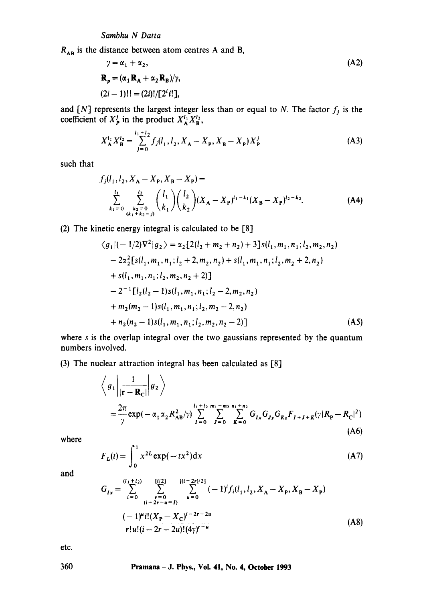$R_{AB}$  is the distance between atom centres A and B,

$$
\gamma = \alpha_1 + \alpha_2,
$$
  
\n
$$
\mathbf{R}_p = (\alpha_1 \mathbf{R}_A + \alpha_2 \mathbf{R}_B) / \gamma,
$$
  
\n
$$
(2i - 1)!! = (2i)!/[2^i i!],
$$
\n(A2)

and [N] represents the largest integer less than or equal to N. The factor  $f_i$  is the coefficient of  $X_p^j$  in the product  $X_A^{i_1} X_B^{i_2}$ ,

$$
X_A^{l_1} X_B^{l_2} = \sum_{j=0}^{l_1+l_2} f_j(l_1, l_2, X_A - X_P, X_B - X_P) X_P^j
$$
 (A3)

such that

$$
f_j(l_1, l_2, X_A - X_P, X_B - X_P) =
$$
  

$$
\sum_{k_1=0}^{l_1} \sum_{\substack{k_2=0 \ (k_1+k_2=j)}}^{l_2} {l_1 \choose k_1} {l_2 \choose k_2} (X_A - X_P)^{l_1-k_1} (X_B - X_P)^{l_2-k_2}.
$$
 (A4)

(2) The kinetic energy integral is calculated to be [8]

$$
\langle g_1 | (-1/2)\nabla^2 | g_2 \rangle = \alpha_2 [2(l_2 + m_2 + n_2) + 3] s(l_1, m_1, n_1; l_2, m_2, n_2)
$$
  
\n
$$
- 2\alpha_2^2 [s(l_1, m_1, n_1; l_2 + 2, m_2, n_2) + s(l_1, m_1, n_1; l_2, m_2 + 2, n_2)
$$
  
\n
$$
+ s(l_1, m_1, n_1; l_2, m_2, n_2 + 2)]
$$
  
\n
$$
- 2^{-1} [l_2(l_2 - 1)s(l_1, m_1, n_1; l_2 - 2, m_2, n_2)
$$
  
\n
$$
+ m_2(m_2 - 1)s(l_1, m_1, n_1; l_2, m_2 - 2, n_2)
$$
  
\n
$$
+ n_2(n_2 - 1)s(l_1, m_1, n_1; l_2, m_2, n_2 - 2)]
$$
 (A5)

where s is the overlap integral over the two gaussians represented by the quantum numbers involved.

(3) The nuclear attraction integral has been calculated as [8]

$$
\left\langle g_1 \left| \frac{1}{|\mathbf{r} - \mathbf{R}_C|} \right| g_2 \right\rangle
$$
  
=  $\frac{2\pi}{\gamma} \exp(-\alpha_1 \alpha_2 R_{AB}^2 / \gamma) \sum_{I=0}^{l_1 + l_2} \sum_{J=0}^{m_1 + m_2} \sum_{K=0}^{n_1 + n_2} G_{Ix} G_{Jy} G_{Kz} F_{I+J+K} (\gamma | R_{P} - R_C|^2)$   
(A6)

where

$$
F_L(t) = \int_0^1 x^{2L} \exp(-tx^2) dx
$$
 (A7)

and

$$
G_{Ix} = \sum_{i=0}^{(l_1 + l_2)} \sum_{\substack{r=0 \ (i-2r-u=1)}}^{[i/2]} \sum_{u=0}^{[(i-2r)/2]} (-1)^i f_i(l_1, l_2, X_A - X_P, X_B - X_P)
$$

$$
\frac{(-1)^u i! (X_P - X_C)^{i-2r-2u}}{r! u! (i-2r-2u)! (4\gamma)^{r+u}}
$$
(A8)

etc.

360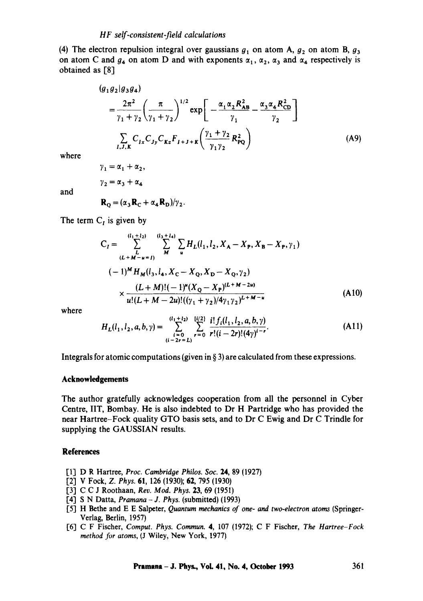(4) The electron repulsion integral over gaussians  $g_1$  on atom A,  $g_2$  on atom B,  $g_3$ on atom C and  $g_4$  on atom D and with exponents  $\alpha_1$ ,  $\alpha_2$ ,  $\alpha_3$  and  $\alpha_4$  respectively is obtained as [8]

$$
(g_1 g_2 | g_3 g_4)
$$
  
=  $\frac{2\pi^2}{\gamma_1 + \gamma_2} \left(\frac{\pi}{\gamma_1 + \gamma_2}\right)^{1/2} \exp\left[-\frac{\alpha_1 \alpha_2 R_{AB}^2}{\gamma_1} - \frac{\alpha_3 \alpha_4 R_{CD}^2}{\gamma_2}\right]$   

$$
\sum_{I,J,K} C_{Ix} C_{Jy} C_{Kz} F_{I+J+K} \left(\frac{\gamma_1 + \gamma_2}{\gamma_1 \gamma_2} R_{PQ}^2\right)
$$
(A9)

where

$$
\gamma_1 = \alpha_1 + \alpha_2,
$$
  
\n
$$
\gamma_2 = \alpha_3 + \alpha_4
$$
  
\n
$$
\mathbf{R}_0 = (\alpha_3 \mathbf{R}_0 + \alpha_4 \mathbf{R}_0)/\gamma_2.
$$

and

$$
\mathbf{R}_{\mathbf{Q}} = (\alpha_{3}\mathbf{R}_{\mathbf{C}} + \alpha_{4}\mathbf{R}_{\mathbf{D}})/\gamma_{2}.
$$

The term  $C_I$  is given by

$$
C_{I} = \sum_{\substack{L \\ (L+M-u=1)}}^{\{l_{1}+l_{2}\}} \sum_{M}^{\{l_{3}+l_{4}\}} \sum_{u} H_{L}(l_{1},l_{2},X_{A}-X_{P},X_{B}-X_{P},\gamma_{1})
$$
  

$$
(-1)^{M} H_{M}(l_{3},l_{4},X_{C}-X_{Q},X_{D}-X_{Q},\gamma_{2})
$$
  

$$
\times \frac{(L+M)!(-1)^{u}(X_{Q}-X_{P})^{(L+M-2u)}}{u!(L+M-2u)!((\gamma_{1}+\gamma_{2})/4\gamma_{1}\gamma_{2})^{L+M-u}}
$$
(A10)

where

$$
H_L(l_1, l_2, a, b, \gamma) = \sum_{\substack{i=0 \ i-2r = L}}^{\lceil (l_1+l_2) \rceil} \sum_{r=0}^{\lfloor i/2 \rfloor} \frac{i! \, f_i(l_1, l_2, a, b, \gamma)}{r!(i-2r)!(4\gamma)^{i-r}}.
$$
\n(A11)

Integrals for atomic computations (given in § 3) are calculated from these expressions.

### **Acknowledgements**

The author gratefully acknowledges cooperation from all the personnel in Cyber Centre, liT, Bombay. He is also indebted to Dr H Partridge who has provided the near Hartree-Fock quality GTO basis sets, and to Dr C Ewig and Dr C Trindle for supplying the GAUSSIAN results.

### **References**

- [1] D R Hartree, *Proc. Cambridoe Philos. Soc.* 24, 89 (1927)
- 1"2] V Fock, *Z. Phys.* 61, 126 (1930); 62, 795 (1930)
- 1"3-1 C C J Roothaan, *Rev. Mod. Phys.* 23, 69 (1951)
- [4"1 S N Datta, *Pramana J.* Phys. (submitted) (1993)
- 1-5] H Bethe and E E Salpeter, *Quantum mechanics of one- and two-electron atoms* (Springer-Verlag, Berlin, 1957)
- [6.1 C F Fischer, *Comput. Phys. Commun.* 4, 107 (1972); C F Fischer, *The Hartree-Fock method for atoms,* (J Wiley, New York, 1977)